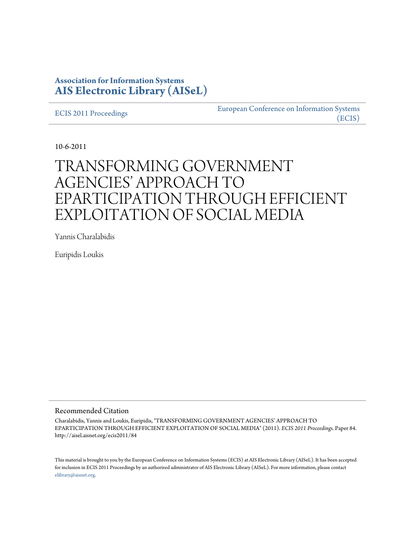## **Association for Information Systems [AIS Electronic Library \(AISeL\)](http://aisel.aisnet.org)**

[ECIS 2011 Proceedings](http://aisel.aisnet.org/ecis2011) [European Conference on Information Systems](http://aisel.aisnet.org/ecis) [\(ECIS\)](http://aisel.aisnet.org/ecis)

10-6-2011

# TRANSFORMING GOVERNMENT AGENCIES' APPROACH TO EPARTICIPATION THROUGH EFFICIENT EXPLOITATION OF SOCIAL MEDIA

Yannis Charalabidis

Euripidis Loukis

#### Recommended Citation

Charalabidis, Yannis and Loukis, Euripidis, "TRANSFORMING GOVERNMENT AGENCIES' APPROACH TO EPARTICIPATION THROUGH EFFICIENT EXPLOITATION OF SOCIAL MEDIA" (2011). *ECIS 2011 Proceedings.* Paper 84. http://aisel.aisnet.org/ecis2011/84

This material is brought to you by the European Conference on Information Systems (ECIS) at AIS Electronic Library (AISeL). It has been accepted for inclusion in ECIS 2011 Proceedings by an authorized administrator of AIS Electronic Library (AISeL). For more information, please contact [elibrary@aisnet.org.](mailto:elibrary@aisnet.org>)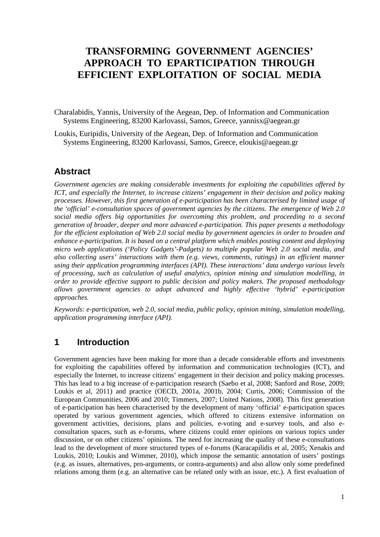# **TRANSFORMING GOVERNMENT AGENCIES' APPROACH TO EPARTICIPATION THROUGH EFFICIENT EXPLOITATION OF SOCIAL MEDIA**

Charalabidis, Yannis, University of the Aegean, Dep. of Information and Communication Systems Engineering, 83200 Karlovassi, Samos, Greece, yannisx@aegean.gr

Loukis, Euripidis, University of the Aegean, Dep. of Information and Communication Systems Engineering, 83200 Karlovassi, Samos, Greece, eloukis@aegean.gr

#### **Abstract**

*Government agencies are making considerable investments for exploiting the capabilities offered by ICT, and especially the Internet, to increase citizens' engagement in their decision and policy making processes. However, this first generation of e-participation has been characterised by limited usage of the 'official' e-consultation spaces of government agencies by the citizens. The emergence of Web 2.0 social media offers big opportunities for overcoming this problem, and proceeding to a second generation of broader, deeper and more advanced e-participation. This paper presents a methodology for the efficient exploitation of Web 2.0 social media by government agencies in order to broaden and enhance e-participation. It is based on a central platform which enables posting content and deploying micro web applications ('Policy Gadgets'-Padgets) to multiple popular Web 2.0 social media, and also collecting users' interactions with them (e.g. views, comments, ratings) in an efficient manner using their application programming interfaces (API). These interactions' data undergo various levels of processing, such as calculation of useful analytics, opinion mining and simulation modelling, in order to provide effective support to public decision and policy makers. The proposed methodology allows government agencies to adopt advanced and highly effective 'hybrid' e-participation approaches.*

*Keywords: e-participation, web 2.0, social media, public policy, opinion mining, simulation modelling, application programming interface (API).*

#### **1 Introduction**

Government agencies have been making for more than a decade considerable efforts and investments for exploiting the capabilities offered by information and communication technologies (ICT), and especially the Internet, to increase citizens' engagement in their decision and policy making processes. This has lead to a big increase of e-participation research (Saebo et al, 2008; Sanford and Rose, 2009; Loukis et al, 2011) and practice (OECD, 2001a, 2001b, 2004; Curtis, 2006; Commission of the European Communities, 2006 and 2010; Timmers, 2007; United Nations, 2008). This first generation of e-participation has been characterised by the development of many 'official' e-participation spaces operated by various government agencies, which offered to citizens extensive information on government activities, decisions, plans and policies, e-voting and e-survey tools, and also econsultation spaces, such as e-forums, where citizens could enter opinions on various topics under discussion, or on other citizens' opinions. The need for increasing the quality of these e-consultations lead to the development of more structured types of e-forums (Karacapilidis et al, 2005; Xenakis and Loukis, 2010; Loukis and Wimmer, 2010), which impose the semantic annotation of users' postings (e.g. as issues, alternatives, pro-arguments, or contra-arguments) and also allow only some predefined relations among them (e.g. an alternative can be related only with an issue, etc.). A first evaluation of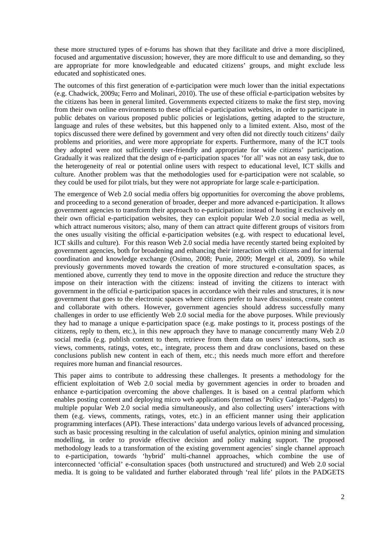these more structured types of e-forums has shown that they facilitate and drive a more disciplined, focused and argumentative discussion; however, they are more difficult to use and demanding, so they are appropriate for more knowledgeable and educated citizens' groups, and might exclude less educated and sophisticated ones.

The outcomes of this first generation of e-participation were much lower than the initial expectations (e.g. Chadwick, 2009a; Ferro and Molinari, 2010). The use of these official e-participation websites by the citizens has been in general limited. Governments expected citizens to make the first step, moving from their own online environments to these official e-participation websites, in order to participate in public debates on various proposed public policies or legislations, getting adapted to the structure, language and rules of these websites, but this happened only to a limited extent. Also, most of the topics discussed there were defined by government and very often did not directly touch citizens' daily problems and priorities, and were more appropriate for experts. Furthermore, many of the ICT tools they adopted were not sufficiently user-friendly and appropriate for wide citizens' participation. Gradually it was realized that the design of e-participation spaces 'for all' was not an easy task, due to the heterogeneity of real or potential online users with respect to educational level, ICT skills and culture. Another problem was that the methodologies used for e-participation were not scalable, so they could be used for pilot trials, but they were not appropriate for large scale e-participation.

The emergence of Web 2.0 social media offers big opportunities for overcoming the above problems, and proceeding to a second generation of broader, deeper and more advanced e-participation. It allows government agencies to transform their approach to e-participation: instead of hosting it exclusively on their own official e-participation websites, they can exploit popular Web 2.0 social media as well, which attract numerous visitors; also, many of them can attract quite different groups of visitors from the ones usually visiting the official e-participation websites (e.g. with respect to educational level, ICT skills and culture). For this reason Web 2.0 social media have recently started being exploited by government agencies, both for broadening and enhancing their interaction with citizens and for internal coordination and knowledge exchange (Osimo, 2008; Punie, 2009; Mergel et al, 2009). So while previously governments moved towards the creation of more structured e-consultation spaces, as mentioned above, currently they tend to move in the opposite direction and reduce the structure they impose on their interaction with the citizens: instead of inviting the citizens to interact with government in the official e-participation spaces in accordance with their rules and structures, it is now government that goes to the electronic spaces where citizens prefer to have discussions, create content and collaborate with others. However, government agencies should address successfully many challenges in order to use efficiently Web 2.0 social media for the above purposes. While previously they had to manage a unique e-participation space (e.g. make postings to it, process postings of the citizens, reply to them, etc.), in this new approach they have to manage concurrently many Web 2.0 social media (e.g. publish content to them, retrieve from them data on users' interactions, such as views, comments, ratings, votes, etc., integrate, process them and draw conclusions, based on these conclusions publish new content in each of them, etc.; this needs much more effort and therefore requires more human and financial resources.

This paper aims to contribute to addressing these challenges. It presents a methodology for the efficient exploitation of Web 2.0 social media by government agencies in order to broaden and enhance e-participation overcoming the above challenges. It is based on a central platform which enables posting content and deploying micro web applications (termed as 'Policy Gadgets'-Padgets) to multiple popular Web 2.0 social media simultaneously, and also collecting users' interactions with them (e.g. views, comments, ratings, votes, etc.) in an efficient manner using their application programming interfaces (API). These interactions' data undergo various levels of advanced processing, such as basic processing resulting in the calculation of useful analytics, opinion mining and simulation modelling, in order to provide effective decision and policy making support. The proposed methodology leads to a transformation of the existing government agencies' single channel approach to e-participation, towards 'hybrid' multi-channel approaches, which combine the use of interconnected 'official' e-consultation spaces (both unstructured and structured) and Web 2.0 social media. It is going to be validated and further elaborated through 'real life' pilots in the PADGETS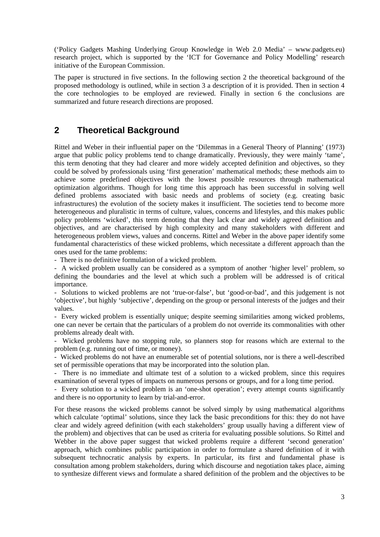('Policy Gadgets Mashing Underlying Group Knowledge in Web 2.0 Media' – www.padgets.eu) research project, which is supported by the 'ICT for Governance and Policy Modelling' research initiative of the European Commission.

The paper is structured in five sections. In the following section 2 the theoretical background of the proposed methodology is outlined, while in section 3 a description of it is provided. Then in section 4 the core technologies to be employed are reviewed. Finally in section 6 the conclusions are summarized and future research directions are proposed.

# **2 Theoretical Background**

Rittel and Weber in their influential paper on the 'Dilemmas in a General Theory of Planning' (1973) argue that public policy problems tend to change dramatically. Previously, they were mainly 'tame', this term denoting that they had clearer and more widely accepted definition and objectives, so they could be solved by professionals using 'first generation' mathematical methods; these methods aim to achieve some predefined objectives with the lowest possible resources through mathematical optimization algorithms. Though for long time this approach has been successful in solving well defined problems associated with basic needs and problems of society (e.g. creating basic infrastructures) the evolution of the society makes it insufficient. The societies tend to become more heterogeneous and pluralistic in terms of culture, values, concerns and lifestyles, and this makes public policy problems 'wicked', this term denoting that they lack clear and widely agreed definition and objectives, and are characterised by high complexity and many stakeholders with different and heterogeneous problem views, values and concerns. Rittel and Weber in the above paper identify some fundamental characteristics of these wicked problems, which necessitate a different approach than the ones used for the tame problems:

- There is no definitive formulation of a wicked problem.

- A wicked problem usually can be considered as a symptom of another 'higher level' problem, so defining the boundaries and the level at which such a problem will be addressed is of critical importance.

- Solutions to wicked problems are not 'true-or-false', but 'good-or-bad', and this judgement is not 'objective', but highly 'subjective', depending on the group or personal interests of the judges and their values.

- Every wicked problem is essentially unique; despite seeming similarities among wicked problems, one can never be certain that the particulars of a problem do not override its commonalities with other problems already dealt with.

- Wicked problems have no stopping rule, so planners stop for reasons which are external to the problem (e.g. running out of time, or money).

- Wicked problems do not have an enumerable set of potential solutions, nor is there a well-described set of permissible operations that may be incorporated into the solution plan.

- There is no immediate and ultimate test of a solution to a wicked problem, since this requires examination of several types of impacts on numerous persons or groups, and for a long time period.

- Every solution to a wicked problem is an 'one-shot operation'; every attempt counts significantly and there is no opportunity to learn by trial-and-error.

For these reasons the wicked problems cannot be solved simply by using mathematical algorithms which calculate 'optimal' solutions, since they lack the basic preconditions for this: they do not have clear and widely agreed definition (with each stakeholders' group usually having a different view of the problem) and objectives that can be used as criteria for evaluating possible solutions. So Rittel and Webber in the above paper suggest that wicked problems require a different 'second generation' approach, which combines public participation in order to formulate a shared definition of it with subsequent technocratic analysis by experts. In particular, its first and fundamental phase is consultation among problem stakeholders, during which discourse and negotiation takes place, aiming to synthesize different views and formulate a shared definition of the problem and the objectives to be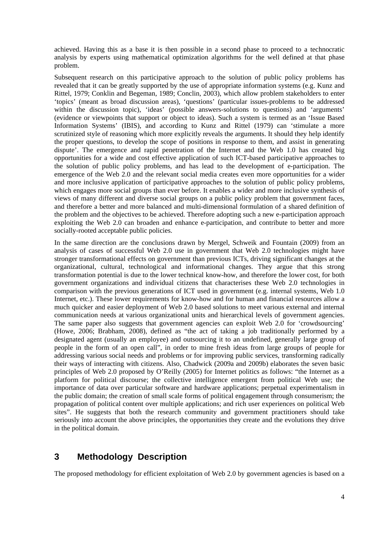achieved. Having this as a base it is then possible in a second phase to proceed to a technocratic analysis by experts using mathematical optimization algorithms for the well defined at that phase problem.

Subsequent research on this participative approach to the solution of public policy problems has revealed that it can be greatly supported by the use of appropriate information systems (e.g. Kunz and Rittel, 1979; Conklin and Begeman, 1989; Conclin, 2003), which allow problem stakeholders to enter 'topics' (meant as broad discussion areas), 'questions' (particular issues-problems to be addressed within the discussion topic), 'ideas' (possible answers-solutions to questions) and 'arguments' (evidence or viewpoints that support or object to ideas). Such a system is termed as an 'Issue Based Information Systems' (IBIS), and according to Kunz and Rittel (1979) can 'stimulate a more scrutinized style of reasoning which more explicitly reveals the arguments. It should they help identify the proper questions, to develop the scope of positions in response to them, and assist in generating dispute'. The emergence and rapid penetration of the Internet and the Web 1.0 has created big opportunities for a wide and cost effective application of such ICT-based participative approaches to the solution of public policy problems, and has lead to the development of e-participation. The emergence of the Web 2.0 and the relevant social media creates even more opportunities for a wider and more inclusive application of participative approaches to the solution of public policy problems, which engages more social groups than ever before. It enables a wider and more inclusive synthesis of views of many different and diverse social groups on a public policy problem that government faces, and therefore a better and more balanced and multi-dimensional formulation of a shared definition of the problem and the objectives to be achieved. Therefore adopting such a new e-participation approach exploiting the Web 2.0 can broaden and enhance e-participation, and contribute to better and more socially-rooted acceptable public policies.

In the same direction are the conclusions drawn by Mergel, Schweik and Fountain (2009) from an analysis of cases of successful Web 2.0 use in government that Web 2.0 technologies might have stronger transformational effects on government than previous ICTs, driving significant changes at the organizational, cultural, technological and informational changes. They argue that this strong transformation potential is due to the lower technical know-how, and therefore the lower cost, for both government organizations and individual citizens that characterises these Web 2.0 technologies in comparison with the previous generations of ICT used in government (e.g. internal systems, Web 1.0 Internet, etc.). These lower requirements for know-how and for human and financial resources allow a much quicker and easier deployment of Web 2.0 based solutions to meet various external and internal communication needs at various organizational units and hierarchical levels of government agencies. The same paper also suggests that government agencies can exploit Web 2.0 for 'crowdsourcing' (Howe, 2006; Brabham, 2008), defined as "the act of taking a job traditionally performed by a designated agent (usually an employee) and outsourcing it to an undefined, generally large group of people in the form of an open call", in order to mine fresh ideas from large groups of people for addressing various social needs and problems or for improving public services, transforming radically their ways of interacting with citizens. Also, Chadwick (2009a and 2009b) elaborates the seven basic principles of Web 2.0 proposed by O'Reilly (2005) for Internet politics as follows: "the Internet as a platform for political discourse; the collective intelligence emergent from political Web use; the importance of data over particular software and hardware applications; perpetual experimentalism in the public domain; the creation of small scale forms of political engagement through consumerism; the propagation of political content over multiple applications; and rich user experiences on political Web sites". He suggests that both the research community and government practitioners should take seriously into account the above principles, the opportunities they create and the evolutions they drive in the political domain.

## **3 Methodology Description**

The proposed methodology for efficient exploitation of Web 2.0 by government agencies is based on a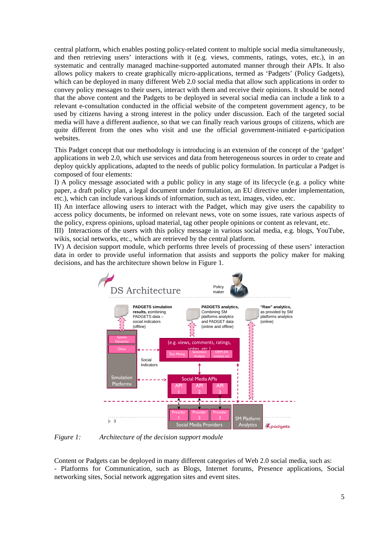central platform, which enables posting policy-related content to multiple social media simultaneously, and then retrieving users' interactions with it (e.g. views, comments, ratings, votes, etc.), in an systematic and centrally managed machine-supported automated manner through their APIs. It also allows policy makers to create graphically micro-applications, termed as 'Padgets' (Policy Gadgets), which can be deployed in many different Web 2.0 social media that allow such applications in order to convey policy messages to their users, interact with them and receive their opinions. It should be noted that the above content and the Padgets to be deployed in several social media can include a link to a relevant e-consultation conducted in the official website of the competent government agency, to be used by citizens having a strong interest in the policy under discussion. Each of the targeted social media will have a different audience, so that we can finally reach various groups of citizens, which are quite different from the ones who visit and use the official government-initiated e-participation websites.

This Padget concept that our methodology is introducing is an extension of the concept of the 'gadget' applications in web 2.0, which use services and data from heterogeneous sources in order to create and deploy quickly applications, adapted to the needs of public policy formulation. In particular a Padget is composed of four elements:

I) A policy message associated with a public policy in any stage of its lifecycle (e.g. a policy white paper, a draft policy plan, a legal document under formulation, an EU directive under implementation, etc.), which can include various kinds of information, such as text, images, video, etc.

II) An interface allowing users to interact with the Padget, which may give users the capability to access policy documents, be informed on relevant news, vote on some issues, rate various aspects of the policy, express opinions, upload material, tag other people opinions or content as relevant, etc.

III) Interactions of the users with this policy message in various social media, e.g. blogs, YouTube, wikis, social networks, etc., which are retrieved by the central platform.

IV) A decision support module, which performs three levels of processing of these users' interaction data in order to provide useful information that assists and supports the policy maker for making decisions, and has the architecture shown below in Figure 1.



*Figure 1: Architecture of the decision support module*

Content or Padgets can be deployed in many different categories of Web 2.0 social media, such as: - Platforms for Communication, such as Blogs, Internet forums, Presence applications, Social networking sites, Social network aggregation sites and event sites.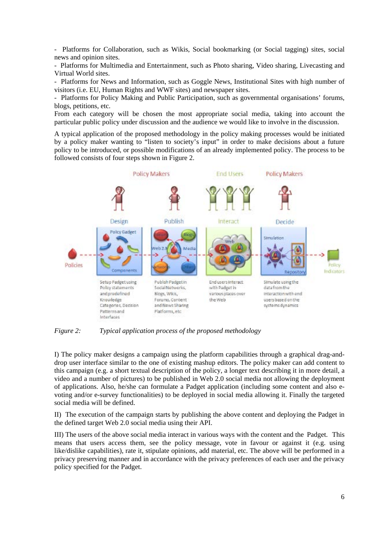- Platforms for Collaboration, such as Wikis, Social bookmarking (or Social tagging) sites, social news and opinion sites.

- Platforms for Multimedia and Entertainment, such as Photo sharing, Video sharing, Livecasting and Virtual World sites.

- Platforms for News and Information, such as Goggle News, Institutional Sites with high number of visitors (i.e. EU, Human Rights and WWF sites) and newspaper sites.

- Platforms for Policy Making and Public Participation, such as governmental organisations' forums, blogs, petitions, etc.

From each category will be chosen the most appropriate social media, taking into account the particular public policy under discussion and the audience we would like to involve in the discussion.

A typical application of the proposed methodology in the policy making processes would be initiated by a policy maker wanting to "listen to society's input" in order to make decisions about a future policy to be introduced, or possible modifications of an already implemented policy. The process to be followed consists of four steps shown in Figure 2.



*Figure 2: Typical application process of the proposed methodology* 

I) The policy maker designs a campaign using the platform capabilities through a graphical drag-anddrop user interface similar to the one of existing mashup editors. The policy maker can add content to this campaign (e.g. a short textual description of the policy, a longer text describing it in more detail, a video and a number of pictures) to be published in Web 2.0 social media not allowing the deployment of applications. Also, he/she can formulate a Padget application (including some content and also evoting and/or e-survey functionalities) to be deployed in social media allowing it. Finally the targeted social media will be defined.

II) The execution of the campaign starts by publishing the above content and deploying the Padget in the defined target Web 2.0 social media using their API.

III) The users of the above social media interact in various ways with the content and the Padget. This means that users access them, see the policy message, vote in favour or against it (e.g. using like/dislike capabilities), rate it, stipulate opinions, add material, etc. The above will be performed in a privacy preserving manner and in accordance with the privacy preferences of each user and the privacy policy specified for the Padget.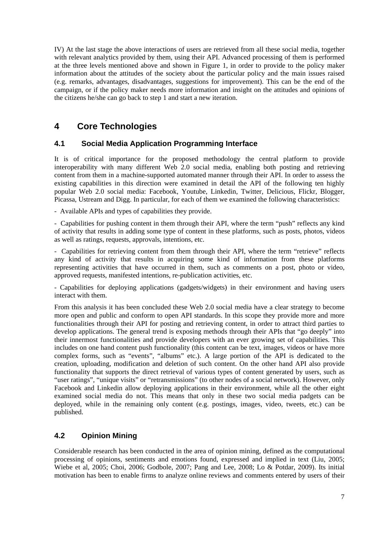IV) At the last stage the above interactions of users are retrieved from all these social media, together with relevant analytics provided by them, using their API. Advanced processing of them is performed at the three levels mentioned above and shown in Figure 1, in order to provide to the policy maker information about the attitudes of the society about the particular policy and the main issues raised (e.g. remarks, advantages, disadvantages, suggestions for improvement). This can be the end of the campaign, or if the policy maker needs more information and insight on the attitudes and opinions of the citizens he/she can go back to step 1 and start a new iteration.

# **4 Core Technologies**

#### **4.1 Social Media Application Programming Interface**

It is of critical importance for the proposed methodology the central platform to provide interoperability with many different Web 2.0 social media, enabling both posting and retrieving content from them in a machine-supported automated manner through their API. In order to assess the existing capabilities in this direction were examined in detail the API of the following ten highly popular Web 2.0 social media: Facebook, Youtube, Linkedin, Twitter, Delicious, Flickr, Blogger, Picassa, Ustream and Digg. In particular, for each of them we examined the following characteristics:

- Available APIs and types of capabilities they provide.

- Capabilities for pushing content in them through their API, where the term "push" reflects any kind of activity that results in adding some type of content in these platforms, such as posts, photos, videos as well as ratings, requests, approvals, intentions, etc.

- Capabilities for retrieving content from them through their API, where the term "retrieve" reflects any kind of activity that results in acquiring some kind of information from these platforms representing activities that have occurred in them, such as comments on a post, photo or video, approved requests, manifested intentions, re-publication activities, etc.

- Capabilities for deploying applications (gadgets/widgets) in their environment and having users interact with them.

From this analysis it has been concluded these Web 2.0 social media have a clear strategy to become more open and public and conform to open API standards. In this scope they provide more and more functionalities through their API for posting and retrieving content, in order to attract third parties to develop applications. The general trend is exposing methods through their APIs that "go deeply" into their innermost functionalities and provide developers with an ever growing set of capabilities. This includes on one hand content push functionality (this content can be text, images, videos or have more complex forms, such as "events", "albums" etc.). A large portion of the API is dedicated to the creation, uploading, modification and deletion of such content. On the other hand API also provide functionality that supports the direct retrieval of various types of content generated by users, such as "user ratings", "unique visits" or "retransmissions" (to other nodes of a social network). However, only Facebook and Linkedin allow deploying applications in their environment, while all the other eight examined social media do not. This means that only in these two social media padgets can be deployed, while in the remaining only content (e.g. postings, images, video, tweets, etc.) can be published.

#### **4.2 Opinion Mining**

Considerable research has been conducted in the area of opinion mining, defined as the computational processing of opinions, sentiments and emotions found, expressed and implied in text (Liu, 2005; Wiebe et al, 2005; Choi, 2006; Godbole, 2007; Pang and Lee, 2008; Lo & Potdar, 2009). Its initial motivation has been to enable firms to analyze online reviews and comments entered by users of their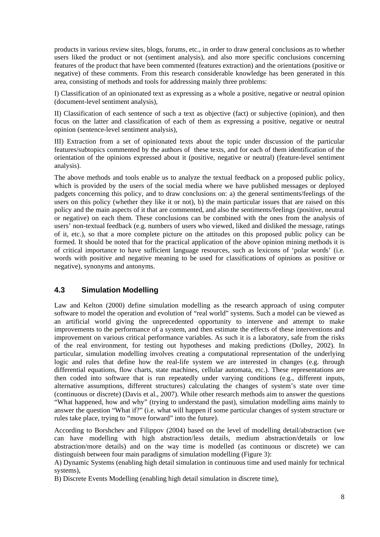products in various review sites, blogs, forums, etc., in order to draw general conclusions as to whether users liked the product or not (sentiment analysis), and also more specific conclusions concerning features of the product that have been commented (features extraction) and the orientations (positive or negative) of these comments. From this research considerable knowledge has been generated in this area, consisting of methods and tools for addressing mainly three problems:

I) Classification of an opinionated text as expressing as a whole a positive, negative or neutral opinion (document-level sentiment analysis),

II) Classification of each sentence of such a text as objective (fact) or subjective (opinion), and then focus on the latter and classification of each of them as expressing a positive, negative or neutral opinion (sentence-level sentiment analysis),

III) Extraction from a set of opinionated texts about the topic under discussion of the particular features/subtopics commented by the authors of these texts, and for each of them identification of the orientation of the opinions expressed about it (positive, negative or neutral) (feature-level sentiment analysis).

The above methods and tools enable us to analyze the textual feedback on a proposed public policy, which is provided by the users of the social media where we have published messages or deployed padgets concerning this policy, and to draw conclusions on: a) the general sentiments/feelings of the users on this policy (whether they like it or not), b) the main particular issues that are raised on this policy and the main aspects of it that are commented, and also the sentiments/feelings (positive, neutral or negative) on each them. These conclusions can be combined with the ones from the analysis of users' non-textual feedback (e.g. numbers of users who viewed, liked and disliked the message, ratings of it, etc.), so that a more complete picture on the attitudes on this proposed public policy can be formed. It should be noted that for the practical application of the above opinion mining methods it is of critical importance to have sufficient language resources, such as lexicons of 'polar words' (i.e. words with positive and negative meaning to be used for classifications of opinions as positive or negative), synonyms and antonyms.

#### **4.3 Simulation Modelling**

Law and Kelton (2000) define simulation modelling as the research approach of using computer software to model the operation and evolution of "real world" systems. Such a model can be viewed as an artificial world giving the unprecedented opportunity to intervene and attempt to make improvements to the performance of a system, and then estimate the effects of these interventions and improvement on various critical performance variables. As such it is a laboratory, safe from the risks of the real environment, for testing out hypotheses and making predictions (Dolley, 2002). In particular, simulation modelling involves creating a computational representation of the underlying logic and rules that define how the real-life system we are interested in changes (e.g. through differential equations, flow charts, state machines, cellular automata, etc.). These representations are then coded into software that is run repeatedly under varying conditions (e.g., different inputs, alternative assumptions, different structures) calculating the changes of system's state over time (continuous or discrete) (Davis et al., 2007). While other research methods aim to answer the questions "What happened, how and why" (trying to understand the past), simulation modelling aims mainly to answer the question "What if?" (i.e. what will happen if some particular changes of system structure or rules take place, trying to "move forward" into the future).

According to Borshchev and Filippov (2004) based on the level of modelling detail/abstraction (we can have modelling with high abstraction/less details, medium abstraction/details or low abstraction/more details) and on the way time is modelled (as continuous or discrete) we can distinguish between four main paradigms of simulation modelling (Figure 3):

A) Dynamic Systems (enabling high detail simulation in continuous time and used mainly for technical systems),

B) Discrete Events Modelling (enabling high detail simulation in discrete time),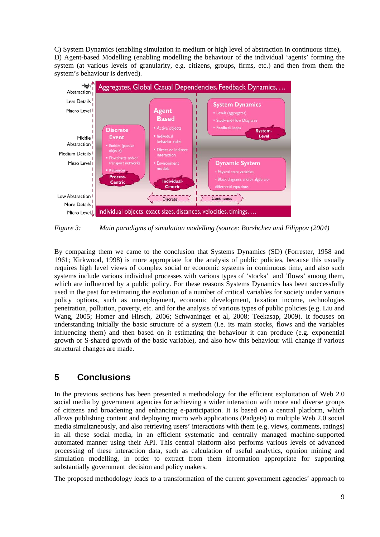C) System Dynamics (enabling simulation in medium or high level of abstraction in continuous time), D) Agent-based Modelling (enabling modelling the behaviour of the individual 'agents' forming the system (at various levels of granularity, e.g. citizens, groups, firms, etc.) and then from them the system's behaviour is derived).



*Figure 3: Main paradigms of simulation modelling (source: Borshchev and Filippov (2004)*

By comparing them we came to the conclusion that Systems Dynamics (SD) (Forrester, 1958 and 1961; Kirkwood, 1998) is more appropriate for the analysis of public policies, because this usually requires high level views of complex social or economic systems in continuous time, and also such systems include various individual processes with various types of 'stocks' and 'flows' among them, which are influenced by a public policy. For these reasons Systems Dynamics has been successfully used in the past for estimating the evolution of a number of critical variables for society under various policy options, such as unemployment, economic development, taxation income, technologies penetration, pollution, poverty, etc. and for the analysis of various types of public policies (e.g. Liu and Wang, 2005; Homer and Hirsch, 2006; Schwaninger et al, 2008; Teekasap, 2009). It focuses on understanding initially the basic structure of a system (i.e. its main stocks, flows and the variables influencing them) and then based on it estimating the behaviour it can produce (e.g. exponential growth or S-shared growth of the basic variable), and also how this behaviour will change if various structural changes are made.

# **5 Conclusions**

In the previous sections has been presented a methodology for the efficient exploitation of Web 2.0 social media by government agencies for achieving a wider interaction with more and diverse groups of citizens and broadening and enhancing e-participation. It is based on a central platform, which allows publishing content and deploying micro web applications (Padgets) to multiple Web 2.0 social media simultaneously, and also retrieving users' interactions with them (e.g. views, comments, ratings) in all these social media, in an efficient systematic and centrally managed machine-supported automated manner using their API. This central platform also performs various levels of advanced processing of these interaction data, such as calculation of useful analytics, opinion mining and simulation modelling, in order to extract from them information appropriate for supporting substantially government decision and policy makers.

The proposed methodology leads to a transformation of the current government agencies' approach to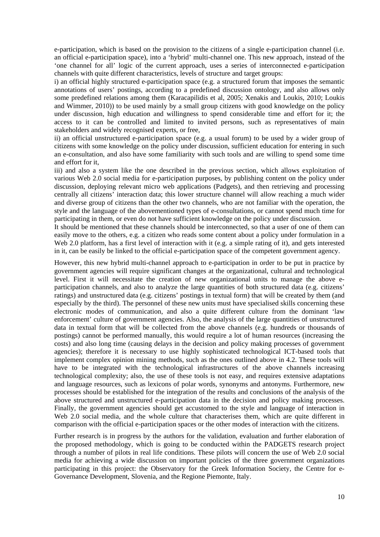e-participation, which is based on the provision to the citizens of a single e-participation channel (i.e. an official e-participation space), into a 'hybrid' multi-channel one. This new approach, instead of the 'one channel for all' logic of the current approach, uses a series of interconnected e-participation channels with quite different characteristics, levels of structure and target groups:

i) an official highly structured e-participation space (e.g. a structured forum that imposes the semantic annotations of users' postings, according to a predefined discussion ontology, and also allows only some predefined relations among them (Karacapilidis et al, 2005; Xenakis and Loukis, 2010; Loukis and Wimmer, 2010)) to be used mainly by a small group citizens with good knowledge on the policy under discussion, high education and willingness to spend considerable time and effort for it; the access to it can be controlled and limited to invited persons, such as representatives of main stakeholders and widely recognised experts, or free,

ii) an official unstructured e-participation space (e.g. a usual forum) to be used by a wider group of citizens with some knowledge on the policy under discussion, sufficient education for entering in such an e-consultation, and also have some familiarity with such tools and are willing to spend some time and effort for it,

iii) and also a system like the one described in the previous section, which allows exploitation of various Web 2.0 social media for e-participation purposes, by publishing content on the policy under discussion, deploying relevant micro web applications (Padgets), and then retrieving and processing centrally all citizens' interaction data; this lower structure channel will allow reaching a much wider and diverse group of citizens than the other two channels, who are not familiar with the operation, the style and the language of the abovementioned types of e-consultations, or cannot spend much time for participating in them, or even do not have sufficient knowledge on the policy under discussion.

It should be mentioned that these channels should be interconnected, so that a user of one of them can easily move to the others, e.g. a citizen who reads some content about a policy under formulation in a Web 2.0 platform, has a first level of interaction with it (e.g. a simple rating of it), and gets interested in it, can be easily be linked to the official e-participation space of the competent government agency.

However, this new hybrid multi-channel approach to e-participation in order to be put in practice by government agencies will require significant changes at the organizational, cultural and technological level. First it will necessitate the creation of new organizational units to manage the above eparticipation channels, and also to analyze the large quantities of both structured data (e.g. citizens' ratings) and unstructured data (e.g. citizens' postings in textual form) that will be created by them (and especially by the third). The personnel of these new units must have specialised skills concerning these electronic modes of communication, and also a quite different culture from the dominant 'law enforcement' culture of government agencies. Also, the analysis of the large quantities of unstructured data in textual form that will be collected from the above channels (e.g. hundreds or thousands of postings) cannot be performed manually, this would require a lot of human resources (increasing the costs) and also long time (causing delays in the decision and policy making processes of government agencies); therefore it is necessary to use highly sophisticated technological ICT-based tools that implement complex opinion mining methods, such as the ones outlined above in 4.2. These tools will have to be integrated with the technological infrastructures of the above channels increasing technological complexity; also, the use of these tools is not easy, and requires extensive adaptations and language resources, such as lexicons of polar words, synonyms and antonyms. Furthermore, new processes should be established for the integration of the results and conclusions of the analysis of the above structured and unstructured e-participation data in the decision and policy making processes. Finally, the government agencies should get accustomed to the style and language of interaction in Web 2.0 social media, and the whole culture that characterises them, which are quite different in comparison with the official e-participation spaces or the other modes of interaction with the citizens.

Further research is in progress by the authors for the validation, evaluation and further elaboration of the proposed methodology, which is going to be conducted within the PADGETS research project through a number of pilots in real life conditions. These pilots will concern the use of Web 2.0 social media for achieving a wide discussion on important policies of the three government organizations participating in this project: the Observatory for the Greek Information Society, the Centre for e-Governance Development, Slovenia, and the Regione Piemonte, Italy.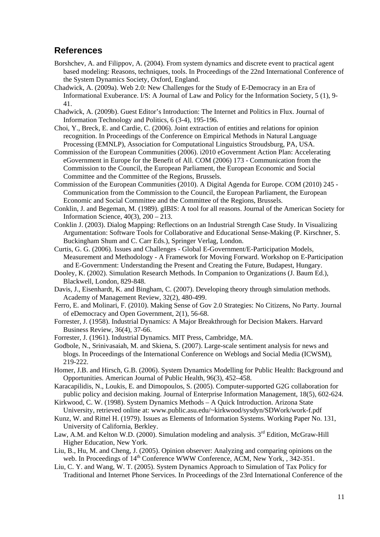### **References**

- Borshchev, A. and Filippov, A. (2004). From system dynamics and discrete event to practical agent based modeling: Reasons, techniques, tools. In Proceedings of the 22nd International Conference of the System Dynamics Society, Oxford, England.
- Chadwick, A. (2009a). Web 2.0: New Challenges for the Study of E-Democracy in an Era of Informational Exuberance. I/S: A Journal of Law and Policy for the Information Society, 5 (1), 9- 41.
- Chadwick, A. (2009b). Guest Editor's Introduction: The Internet and Politics in Flux. Journal of Information Technology and Politics, 6 (3-4), 195-196.
- Choi, Y., Breck, E. and Cardie, C. (2006). Joint extraction of entities and relations for opinion recognition. In Proceedings of the Conference on Empirical Methods in Natural Language Processing (EMNLP), Association for Computational Linguistics Stroudsburg, PA, USA.
- Commission of the European Communities (2006). i2010 eGovernment Action Plan: Accelerating eGovernment in Europe for the Benefit of All. COM (2006) 173 - Communication from the Commission to the Council, the European Parliament, the European Economic and Social Committee and the Committee of the Regions, Brussels.
- Commission of the European Communities (2010). A Digital Agenda for Europe. COM (2010) 245 Communication from the Commission to the Council, the European Parliament, the European Economic and Social Committee and the Committee of the Regions, Brussels.
- Conklin, J. and Begeman, M. (1989). gIBIS: A tool for all reasons. Journal of the American Society for Information Science, 40(3), 200 – 213.
- Conklin J. (2003). Dialog Mapping: Reflections on an Industrial Strength Case Study. In Visualizing Argumentation: Software Tools for Collaborative and Educational Sense-Making (P. Kirschner, S. Buckingham Shum and C. Carr Eds.), Springer Verlag, London.
- Curtis, G. G. (2006). Issues and Challenges Global E-Government/E-Participation Models, Measurement and Methodology - A Framework for Moving Forward. Workshop on E-Participation and E-Government: Understanding the Present and Creating the Future, Budapest, Hungary.
- Dooley, K. (2002). Simulation Research Methods. In Companion to Organizations (J. Baum Ed.), Blackwell, London, 829-848.
- Davis, J., Eisenhardt, K. and Bingham, C. (2007). Developing theory through simulation methods. Academy of Management Review, 32(2), 480-499.
- Ferro, E. and Molinari, F. (2010). Making Sense of Gov 2.0 Strategies: No Citizens, No Party. Journal of eDemocracy and Open Government, 2(1), 56-68.
- Forrester, J. (1958). Industrial Dynamics: A Major Breakthrough for Decision Makers. Harvard Business Review, 36(4), 37-66.
- Forrester, J. (1961). Industrial Dynamics. MIT Press, Cambridge, MA.
- Godbole, N., Srinivasaiah, M. and Skiena, S. (2007). Large-scale sentiment analysis for news and blogs. In Proceedings of the International Conference on Weblogs and Social Media (ICWSM), 219-222.
- Homer, J.B. and Hirsch, G.B. (2006). System Dynamics Modelling for Public Health: Background and Opportunities. American Journal of Public Health, 96(3), 452–458.
- Karacapilidis, N., Loukis, E. and Dimopoulos, S. (2005). Computer-supported G2G collaboration for public policy and decision making. Journal of Enterprise Information Management, 18(5), 602-624.
- Kirkwood, C. W. (1998). System Dynamics Methods A Quick Introduction. Arizona State University, retrieved online at: www.public.asu.edu/~kirkwood/sysdyn/SDWork/work-f.pdf
- Kunz, W. and Rittel H. (1979). Issues as Elements of Information Systems. Working Paper No. 131, University of California, Berkley.
- Law, A.M. and Kelton W.D. (2000). Simulation modeling and analysis.  $3<sup>rd</sup>$  Edition, McGraw-Hill Higher Education, New York.
- Liu, B., Hu, M. and Cheng, J. (2005). Opinion observer: Analyzing and comparing opinions on the web. In Proceedings of 14<sup>th</sup> Conference WWW Conference, ACM, New York, , 342-351.
- Liu, C. Y. and Wang, W. T. (2005). System Dynamics Approach to Simulation of Tax Policy for Traditional and Internet Phone Services. In Proceedings of the 23rd International Conference of the